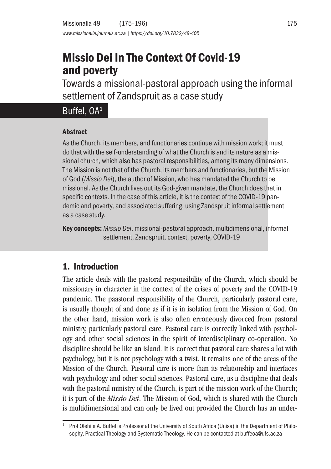*www.missionalia.journals.ac.za | https://doi.org/10.7832/49-405*

# Missio Dei In The Context Of Covid-19 and poverty

Towards a missional-pastoral approach using the informal settlement of Zandspruit as a case study

# Buffel, OA<sup>1</sup>

#### **Abstract**

As the Church, its members, and functionaries continue with mission work; it must do that with the self-understanding of what the Church is and its nature as a missional church, which also has pastoral responsibilities, among its many dimensions. The Mission is not that of the Church, its members and functionaries, but the Mission of God (*Missio Dei*), the author of Mission, who has mandated the Church to be missional. As the Church lives out its God-given mandate, the Church does that in specific contexts. In the case of this article, it is the context of the COVID-19 pandemic and poverty, and associated suffering, using Zandspruit informal settlement as a case study.

Key concepts: *Missio Dei*, missional-pastoral approach, multidimensional, informal settlement, Zandspruit, context, poverty, COVID-19

### 1. Introduction

The article deals with the pastoral responsibility of the Church, which should be missionary in character in the context of the crises of poverty and the COVID-19 pandemic. The paastoral responsibility of the Church, particularly pastoral care, is usually thought of and done as if it is in isolation from the Mission of God. On the other hand, mission work is also often erroneously divorced from pastoral ministry, particularly pastoral care. Pastoral care is correctly linked with psychology and other social sciences in the spirit of interdisciplinary co-operation. No discipline should be like an island. It is correct that pastoral care shares a lot with psychology, but it is not psychology with a twist. It remains one of the areas of the Mission of the Church. Pastoral care is more than its relationship and interfaces with psychology and other social sciences. Pastoral care, as a discipline that deals with the pastoral ministry of the Church, is part of the mission work of the Church; it is part of the *Missio Dei*. The Mission of God, which is shared with the Church is multidimensional and can only be lived out provided the Church has an under-

<sup>1</sup> Prof Olehile A. Buffel is Professor at the University of South Africa (Unisa) in the Department of Philosophy, Practical Theology and Systematic Theology. He can be contacted at buffeoa@ufs.ac.za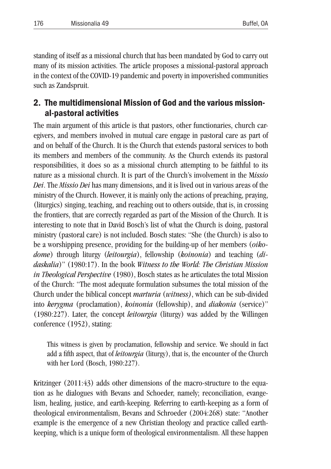standing of itself as a missional church that has been mandated by God to carry out many of its mission activities. The article proposes a missional-pastoral approach in the context of the COVID-19 pandemic and poverty in impoverished communities such as Zandspruit.

### 2. The multidimensional Mission of God and the various missional-pastoral activities

The main argument of this article is that pastors, other functionaries, church caregivers, and members involved in mutual care engage in pastoral care as part of and on behalf of the Church. It is the Church that extends pastoral services to both its members and members of the community. As the Church extends its pastoral responsibilities, it does so as a missional church attempting to be faithful to its nature as a missional church. It is part of the Church's involvement in the M*issio Dei*. The *Missio Dei* has many dimensions, and it is lived out in various areas of the ministry of the Church. However, it is mainly only the actions of preaching, praying, (liturgics) singing, teaching, and reaching out to others outside, that is, in crossing the frontiers, that are correctly regarded as part of the Mission of the Church. It is interesting to note that in David Bosch's list of what the Church is doing, pastoral ministry (pastoral care) is not included. Bosch states: "She (the Church) is also to be a worshipping presence, providing for the building-up of her members (*oikodome*) through liturgy (*leitourgia*), fellowship (*koinonia*) and teaching (*didaskalia*)" (1980:17). In the book *Witness to the World: The Christian Mission in Theological Perspective* (1980), Bosch states as he articulates the total Mission of the Church: "The most adequate formulation subsumes the total mission of the Church under the biblical concept *marturia* (*witness)*, which can be sub-divided into *kerygma* (proclamation), *koinonia* (fellowship), and *diakonia* (service)" (1980:227). Later, the concept *leitourgia* (liturgy) was added by the Willingen conference (1952), stating:

This witness is given by proclamation, fellowship and service. We should in fact add a fifth aspect, that of *leitourgia* (liturgy), that is, the encounter of the Church with her Lord (Bosch, 1980:227).

Kritzinger (2011:43) adds other dimensions of the macro-structure to the equation as he dialogues with Bevans and Schoeder, namely; reconciliation, evangelism, healing, justice, and earth-keeping. Referring to earth-keeping as a form of theological environmentalism, Bevans and Schroeder (2004:268) state: "Another example is the emergence of a new Christian theology and practice called earthkeeping, which is a unique form of theological environmentalism. All these happen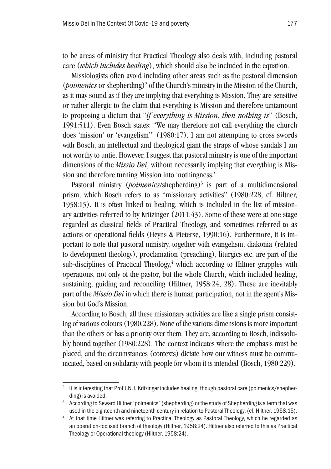to be areas of ministry that Practical Theology also deals with, including pastoral care (*which includes healing*), which should also be included in the equation.

Missiologists often avoid including other areas such as the pastoral dimension (*poimenics* or shepherding)<sup>2</sup> of the Church's ministry in the Mission of the Church, as it may sound as if they are implying that everything is Mission. They are sensitive or rather allergic to the claim that everything is Mission and therefore tantamount to proposing a dictum that "*if everything is Mission, then nothing is*" (Bosch, 1991:511). Even Bosch states: "We may therefore not call everything the church does 'mission' or 'evangelism'" (1980:17). I am not attempting to cross swords with Bosch, an intellectual and theological giant the straps of whose sandals I am not worthy to untie. However, I suggest that pastoral ministry is one of the important dimensions of the *Missio Dei*, without necessarily implying that everything is Mission and therefore turning Mission into 'nothingness.'

Pastoral ministry (*poimenics*/shepherding)<sup>3</sup> is part of a multidimensional prism, which Bosch refers to as "missionary activities" (1980:228; cf. Hiltner, 1958:15). It is often linked to healing, which is included in the list of missionary activities referred to by Kritzinger (2011:43). Some of these were at one stage regarded as classical fields of Practical Theology, and sometimes referred to as actions or operational fields (Heyns & Pieterse, 1990:16). Furthermore, it is important to note that pastoral ministry, together with evangelism, diakonia (related to development theology), proclamation (preaching), liturgics etc. are part of the sub-disciplines of Practical Theology, $4$  which according to Hiltner grapples with operations, not only of the pastor, but the whole Church, which included healing, sustaining, guiding and reconciling (Hiltner, 1958:24, 28). These are inevitably part of the *Missio Dei* in which there is human participation, not in the agent's Mission but God's Mission.

According to Bosch, all these missionary activities are like a single prism consisting of various colours (1980:228). None of the various dimensions is more important than the others or has a priority over them. They are, according to Bosch, indissolubly bound together (1980:228). The context indicates where the emphasis must be placed, and the circumstances (contexts) dictate how our witness must be communicated, based on solidarity with people for whom it is intended (Bosch, 1980:229).

It is interesting that Prof J.N.J. Kritzinger includes healing, though pastoral care (poimenics/shepherding) is avoided.<br><sup>3</sup> According to Seward Hiltner "poimenics" (shepherding) or the study of Shepherding is a term that was

used in the eighteenth and nineteenth century in relation to Pastoral Theology. (cf. Hiltner, 1958:15). 4 At that time Hiltner was referring to Practical Theology as Pastoral Theology, which he regarded as an operation-focused branch of theology (Hiltner, 1958:24). Hiltner also referred to this as Practical Theology or Operational theology (Hiltner, 1958:24).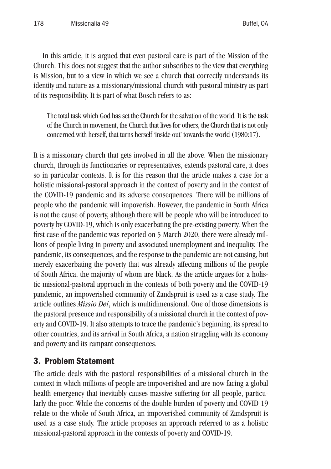In this article, it is argued that even pastoral care is part of the Mission of the Church. This does not suggest that the author subscribes to the view that everything is Mission, but to a view in which we see a church that correctly understands its identity and nature as a missionary/missional church with pastoral ministry as part of its responsibility. It is part of what Bosch refers to as:

The total task which God has set the Church for the salvation of the world. It is the task of the Church in movement, the Church that lives for others, the Church that is not only concerned with herself, that turns herself 'inside out' towards the world (1980:17).

It is a missionary church that gets involved in all the above. When the missionary church, through its functionaries or representatives, extends pastoral care, it does so in particular contexts. It is for this reason that the article makes a case for a holistic missional-pastoral approach in the context of poverty and in the context of the COVID-19 pandemic and its adverse consequences. There will be millions of people who the pandemic will impoverish. However, the pandemic in South Africa is not the cause of poverty, although there will be people who will be introduced to poverty by COVID-19, which is only exacerbating the pre-existing poverty. When the first case of the pandemic was reported on 5 March 2020, there were already millions of people living in poverty and associated unemployment and inequality. The pandemic, its consequences, and the response to the pandemic are not causing, but merely exacerbating the poverty that was already affecting millions of the people of South Africa, the majority of whom are black. As the article argues for a holistic missional-pastoral approach in the contexts of both poverty and the COVID-19 pandemic, an impoverished community of Zandspruit is used as a case study. The article outlines *Missio Dei*, which is multidimensional. One of those dimensions is the pastoral presence and responsibility of a missional church in the context of poverty and COVID-19. It also attempts to trace the pandemic's beginning, its spread to other countries, and its arrival in South Africa, a nation struggling with its economy and poverty and its rampant consequences.

### 3. Problem Statement

The article deals with the pastoral responsibilities of a missional church in the context in which millions of people are impoverished and are now facing a global health emergency that inevitably causes massive suffering for all people, particularly the poor. While the concerns of the double burden of poverty and COVID-19 relate to the whole of South Africa, an impoverished community of Zandspruit is used as a case study. The article proposes an approach referred to as a holistic missional-pastoral approach in the contexts of poverty and COVID-19.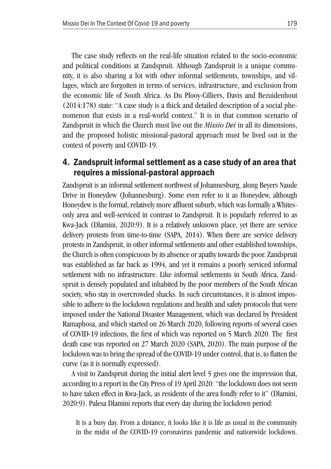The case study reflects on the real-life situation related to the socio-economic and political conditions at Zandspruit. Although Zandspruit is a unique community, it is also sharing a lot with other informal settlements, townships, and villages, which are forgotten in terms of services, infrastructure, and exclusion from the economic life of South Africa. As Du Plooy-Cilliers, Davis and Bezuidenhout (2014:178) state: "A case study is a thick and detailed description of a social phenomenon that exists in a real-world context." It is in that common scenario of Zandspruit in which the Church must live out the *Missio Dei* in all its dimensions, and the proposed holistic missional-pastoral approach must be lived out in the context of poverty and COVID-19.

#### 4. Zandspruit informal settlement as a case study of an area that requires a missional-pastoral approach

Zandspruit is an informal settlement northwest of Johannesburg, along Beyers Naude Drive in Honeydew (Johannesburg). Some even refer to it as Honeydew, although Honeydew is the formal, relatively more affluent suburb, which was formally a Whitesonly area and well-serviced in contrast to Zandspruit. It is popularly referred to as Kwa-Jack (Dlamini, 2020:9). It is a relatively unknown place, yet there are service delivery protests from time-to-time (SAPA, 2014). When there are service delivery protests in Zandspruit, in other informal settlements and other established townships, the Church is often conspicuous by its absence or apathy towards the poor. Zandspruit was established as far back as 1994, and yet it remains a poorly serviced informal settlement with no infrastructure. Like informal settlements in South Africa, Zandspruit is densely populated and inhabited by the poor members of the South African society, who stay in overcrowded shacks. In such circumstances, it is almost impossible to adhere to the lockdown regulations and health and safety protocols that were imposed under the National Disaster Management, which was declared by President Ramaphosa, and which started on 26 March 2020, following reports of several cases of COVID-19 infections, the first of which was reported on 5 March 2020. The first death case was reported on 27 March 2020 (SAPA, 2020). The main purpose of the lockdown was to bring the spread of the COVID-19 under control, that is, to flatten the curve (as it is normally expressed).

A visit to Zandspruit during the initial alert level 5 gives one the impression that, according to a report in the City Press of 19 April 2020: "the lockdown does not seem to have taken effect in Kwa-Jack, as residents of the area fondly refer to it" (Dlamini, 2020:9). Palesa Dlamini reports that every day during the lockdown period:

It is a busy day. From a distance, it looks like it is life as usual in the community in the midst of the COVID-19 coronavirus pandemic and nationwide lockdown.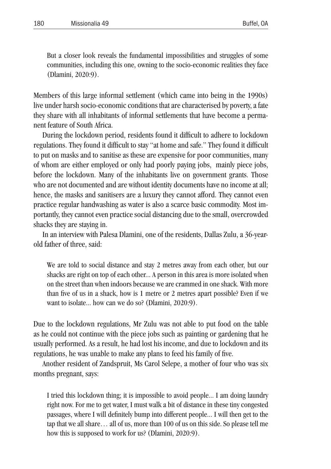But a closer look reveals the fundamental impossibilities and struggles of some communities, including this one, owning to the socio-economic realities they face (Dlamini, 2020:9).

Members of this large informal settlement (which came into being in the 1990s) live under harsh socio-economic conditions that are characterised by poverty, a fate they share with all inhabitants of informal settlements that have become a permanent feature of South Africa.

During the lockdown period, residents found it difficult to adhere to lockdown regulations. They found it difficult to stay "at home and safe." They found it difficult to put on masks and to sanitise as these are expensive for poor communities, many of whom are either employed or only had poorly paying jobs, mainly piece jobs, before the lockdown. Many of the inhabitants live on government grants. Those who are not documented and are without identity documents have no income at all; hence, the masks and sanitisers are a luxury they cannot afford. They cannot even practice regular handwashing as water is also a scarce basic commodity. Most importantly, they cannot even practice social distancing due to the small, overcrowded shacks they are staying in.

In an interview with Palesa Dlamini, one of the residents, Dallas Zulu, a 36-yearold father of three, said:

We are told to social distance and stay 2 metres away from each other, but our shacks are right on top of each other... A person in this area is more isolated when on the street than when indoors because we are crammed in one shack. With more than five of us in a shack, how is 1 metre or 2 metres apart possible? Even if we want to isolate... how can we do so? (Dlamini, 2020:9).

Due to the lockdown regulations, Mr Zulu was not able to put food on the table as he could not continue with the piece jobs such as painting or gardening that he usually performed. As a result, he had lost his income, and due to lockdown and its regulations, he was unable to make any plans to feed his family of five.

Another resident of Zandspruit, Ms Carol Selepe, a mother of four who was six months pregnant, says:

I tried this lockdown thing; it is impossible to avoid people... I am doing laundry right now. For me to get water, I must walk a bit of distance in these tiny congested passages, where I will definitely bump into different people... I will then get to the tap that we all share… all of us, more than 100 of us on this side. So please tell me how this is supposed to work for us? (Dlamini, 2020:9).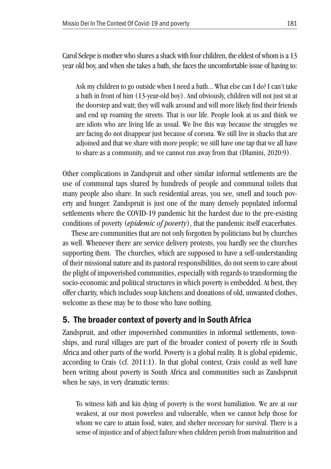Carol Selepe is mother who shares a shack with four children, the eldest of whom is a 13 year old boy, and when she takes a bath, she faces the uncomfortable issue of having to:

Ask my children to go outside when I need a bath... What else can I do? I can't take a bath in front of him (13-year-old boy). And obviously, children will not just sit at the doorstep and wait; they will walk around and will more likely find their friends and end up roaming the streets. That is our life. People look at us and think we are idiots who are living life as usual. We live this way because the struggles we are facing do not disappear just because of corona. We still live in shacks that are adjoined and that we share with more people; we still have one tap that we all have to share as a community, and we cannot run away from that (Dlamini, 2020:9).

Other complications in Zandspruit and other similar informal settlements are the use of communal taps shared by hundreds of people and communal toilets that many people also share. In such residential areas, you see, smell and touch poverty and hunger. Zandspruit is just one of the many densely populated informal settlements where the COVID-19 pandemic hit the hardest due to the pre-existing conditions of poverty (*epidemic of poverty*), that the pandemic itself exacerbates.

These are communities that are not only forgotten by politicians but by churches as well. Whenever there are service delivery protests, you hardly see the churches supporting them. The churches, which are supposed to have a self-understanding of their missional nature and its pastoral responsibilities, do not seem to care about the plight of impoverished communities, especially with regards to transforming the socio-economic and political structures in which poverty is embedded. At best, they offer charity, which includes soup kitchens and donations of old, unwanted clothes, welcome as these may be to those who have nothing.

### 5. The broader context of poverty and in South Africa

Zandspruit, and other impoverished communities in informal settlements, townships, and rural villages are part of the broader context of poverty rife in South Africa and other parts of the world. Poverty is a global reality. It is global epidemic, according to Crais (cf. 2011:1). In that global context, Crais could as well have been writing about poverty in South Africa and communities such as Zandspruit when he says, in very dramatic terms:

To witness kith and kin dying of poverty is the worst humiliation. We are at our weakest, at our most powerless and vulnerable, when we cannot help those for whom we care to attain food, water, and shelter necessary for survival. There is a sense of injustice and of abject failure when children perish from malnutrition and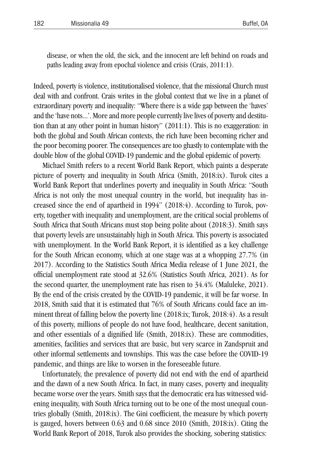disease, or when the old, the sick, and the innocent are left behind on roads and paths leading away from epochal violence and crisis (Crais, 2011:1).

Indeed, poverty is violence, institutionalised violence, that the missional Church must deal with and confront. Crais writes in the global context that we live in a planet of extraordinary poverty and inequality: "Where there is a wide gap between the 'haves' and the 'have nots...'. More and more people currently live lives of poverty and destitution than at any other point in human history" (2011:1). This is no exaggeration: in both the global and South African contexts, the rich have been becoming richer and the poor becoming poorer. The consequences are too ghastly to contemplate with the double blow of the global COVID-19 pandemic and the global epidemic of poverty.

Michael Smith refers to a recent World Bank Report, which paints a desperate picture of poverty and inequality in South Africa (Smith, 2018:ix). Turok cites a World Bank Report that underlines poverty and inequality in South Africa: "South Africa is not only the most unequal country in the world, but inequality has increased since the end of apartheid in 1994" (2018:4). According to Turok, poverty, together with inequality and unemployment, are the critical social problems of South Africa that South Africans must stop being polite about (2018:3). Smith says that poverty levels are unsustainably high in South Africa. This poverty is associated with unemployment. In the World Bank Report, it is identified as a key challenge for the South African economy, which at one stage was at a whopping 27.7% (in 2017). According to the Statistics South Africa Media release of 1 June 2021, the official unemployment rate stood at 32.6% (Statistics South Africa, 2021). As for the second quarter, the unemployment rate has risen to 34.4% (Maluleke, 2021). By the end of the crisis created by the COVID-19 pandemic, it will be far worse. In 2018, Smith said that it is estimated that 76% of South Africans could face an imminent threat of falling below the poverty line (2018:ix; Turok, 2018:4). As a result of this poverty, millions of people do not have food, healthcare, decent sanitation, and other essentials of a dignified life (Smith, 2018:ix). These are commodities, amenities, facilities and services that are basic, but very scarce in Zandspruit and other informal settlements and townships. This was the case before the COVID-19 pandemic, and things are like to worsen in the foreseeable future.

Unfortunately, the prevalence of poverty did not end with the end of apartheid and the dawn of a new South Africa. In fact, in many cases, poverty and inequality became worse over the years. Smith says that the democratic era has witnessed widening inequality, with South Africa turning out to be one of the most unequal countries globally (Smith, 2018:ix). The Gini coefficient, the measure by which poverty is gauged, hovers between 0.63 and 0.68 since 2010 (Smith, 2018:ix). Citing the World Bank Report of 2018, Turok also provides the shocking, sobering statistics: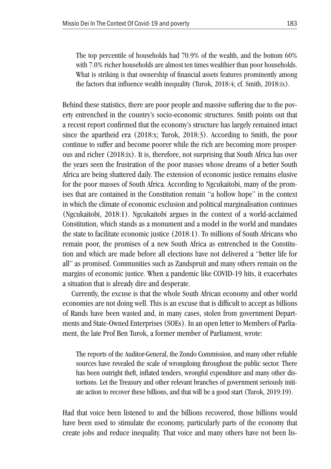The top percentile of households had 70.9% of the wealth, and the bottom 60% with 7.0% richer households are almost ten times wealthier than poor households. What is striking is that ownership of financial assets features prominently among the factors that influence wealth inequality (Turok, 2018:4; cf. Smith, 2018:ix).

Behind these statistics, there are poor people and massive suffering due to the poverty entrenched in the country's socio-economic structures. Smith points out that a recent report confirmed that the economy's structure has largely remained intact since the apartheid era (2018:x; Turok, 2018:3). According to Smith, the poor continue to suffer and become poorer while the rich are becoming more prosperous and richer (2018:ix). It is, therefore, not surprising that South Africa has over the years seen the frustration of the poor masses whose dreams of a better South Africa are being shattered daily. The extension of economic justice remains elusive for the poor masses of South Africa. According to Ngcukaitobi, many of the promises that are contained in the Constitution remain "a hollow hope" in the context in which the climate of economic exclusion and political marginalisation continues (Ngcukaitobi, 2018:1). Ngcukaitobi argues in the context of a world-acclaimed Constitution, which stands as a monument and a model in the world and mandates the state to facilitate economic justice (2018:1). To millions of South Africans who remain poor, the promises of a new South Africa as entrenched in the Constitution and which are made before all elections have not delivered a "better life for all" as promised. Communities such as Zandspruit and many others remain on the margins of economic justice. When a pandemic like COVID-19 hits, it exacerbates a situation that is already dire and desperate.

Currently, the excuse is that the whole South African economy and other world economies are not doing well. This is an excuse that is difficult to accept as billions of Rands have been wasted and, in many cases, stolen from government Departments and State-Owned Enterprises (SOEs). In an open letter to Members of Parliament, the late Prof Ben Turok, a former member of Parliament, wrote:

The reports of the Auditor-General, the Zondo Commission, and many other reliable sources have revealed the scale of wrongdoing throughout the public sector. There has been outright theft, inflated tenders, wrongful expenditure and many other distortions. Let the Treasury and other relevant branches of government seriously initiate action to recover these billions, and that will be a good start (Turok, 2019:19).

Had that voice been listened to and the billions recovered, those billions would have been used to stimulate the economy, particularly parts of the economy that create jobs and reduce inequality. That voice and many others have not been lis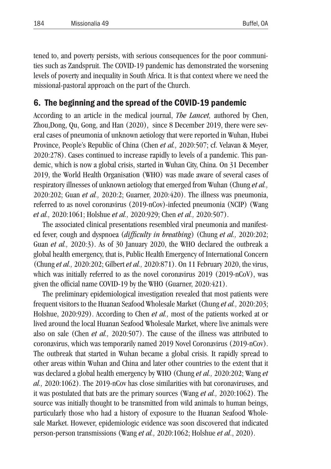tened to, and poverty persists, with serious consequences for the poor communities such as Zandspruit. The COVID-19 pandemic has demonstrated the worsening levels of poverty and inequality in South Africa. It is that context where we need the missional-pastoral approach on the part of the Church.

#### 6. The beginning and the spread of the COVID-19 pandemic

According to an article in the medical journal, *The Lancet,* authored by Chen, Zhou,Dong, Qu, Gong, and Han (2020), since 8 December 2019, there were several cases of pneumonia of unknown aetiology that were reported in Wuhan, Hubei Province, People's Republic of China (Chen *et al.,* 2020:507; cf. Velavan & Meyer, 2020:278). Cases continued to increase rapidly to levels of a pandemic. This pandemic, which is now a global crisis, started in Wuhan City, China. On 31 December 2019, the World Health Organisation (WHO) was made aware of several cases of respiratory illnesses of unknown aetiology that emerged from Wuhan (Chung *et al.,* 2020:202; Guan *et al.,* 2020:2; Guarner, 2020:420). The illness was pneumonia, referred to as novel coronavirus (2019-nCov)-infected pneumonia (NCIP) (Wang *et al.,* 2020:1061; Holshue *et al.,* 2020:929; Chen *et al.,* 2020:507).

The associated clinical presentations resembled viral pneumonia and manifested fever, cough and dyspnoea (*difficulty in breathing*) (Chung *et al.,* 2020:202; Guan *et al.,* 2020:3). As of 30 January 2020, the WHO declared the outbreak a global health emergency, that is, Public Health Emergency of International Concern (Chung *et al.,* 2020:202; Gilbert *et al.,* 2020:871). On 11 February 2020, the virus, which was initially referred to as the novel coronavirus 2019 (2019-nCoV), was given the official name COVID-19 by the WHO (Guarner, 2020:421).

The preliminary epidemiological investigation revealed that most patients were frequent visitors to the Huanan Seafood Wholesale Market (Chung *et al.,* 2020:203; Holshue, 2020:929). According to Chen *et al.,* most of the patients worked at or lived around the local Huanan Seafood Wholesale Market, where live animals were also on sale (Chen *et al.,* 2020:507). The cause of the illness was attributed to coronavirus, which was temporarily named 2019 Novel Coronavirus (2019-nCov). The outbreak that started in Wuhan became a global crisis. It rapidly spread to other areas within Wuhan and China and later other countries to the extent that it was declared a global health emergency by WHO (Chung *et al.,* 2020:202; Wang *et al.,* 2020:1062). The 2019-nCov has close similarities with bat coronaviruses, and it was postulated that bats are the primary sources (Wang *et al.,* 2020:1062). The source was initially thought to be transmitted from wild animals to human beings, particularly those who had a history of exposure to the Huanan Seafood Wholesale Market. However, epidemiologic evidence was soon discovered that indicated person-person transmissions (Wang *et al.,* 2020:1062; Holshue *et al*., 2020).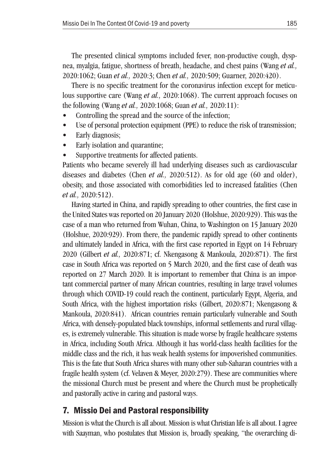The presented clinical symptoms included fever, non-productive cough, dyspnea, myalgia, fatigue, shortness of breath, headache, and chest pains (Wang *et al.,* 2020:1062; Guan *et al.,* 2020:3; Chen *et al.,* 2020:509; Guarner, 2020:420).

There is no specific treatment for the coronavirus infection except for meticulous supportive care (Wang *et al.,* 2020:1068). The current approach focuses on the following (Wang *et al.,* 2020:1068; Guan *et al.,* 2020:11):

- Controlling the spread and the source of the infection;
- Use of personal protection equipment (PPE) to reduce the risk of transmission;
- Early diagnosis:
- Early isolation and quarantine;
- Supportive treatments for affected patients.

Patients who became severely ill had underlying diseases such as cardiovascular diseases and diabetes (Chen *et al.,* 2020:512). As for old age (60 and older), obesity, and those associated with comorbidities led to increased fatalities (Chen *et al.,* 2020:512).

Having started in China, and rapidly spreading to other countries, the first case in the United States was reported on 20 January 2020 (Holshue, 2020:929). This was the case of a man who returned from Wuhan, China, to Washington on 15 January 2020 (Holshue, 2020:929). From there, the pandemic rapidly spread to other continents and ultimately landed in Africa, with the first case reported in Egypt on 14 February 2020 (Gilbert *et al.,* 2020:871; cf. Nkengasong & Mankoula, 2020:871). The first case in South Africa was reported on 5 March 2020, and the first case of death was reported on 27 March 2020. It is important to remember that China is an important commercial partner of many African countries, resulting in large travel volumes through which COVID-19 could reach the continent, particularly Egypt, Algeria, and South Africa, with the highest importation risks (Gilbert, 2020:871; Nkengasong & Mankoula, 2020:841). African countries remain particularly vulnerable and South Africa, with densely-populated black townships, informal settlements and rural villages, is extremely vulnerable. This situation is made worse by fragile healthcare systems in Africa, including South Africa. Although it has world-class health facilities for the middle class and the rich, it has weak health systems for impoverished communities. This is the fate that South Africa shares with many other sub-Saharan countries with a fragile health system (cf. Velaven & Meyer, 2020:279). These are communities where the missional Church must be present and where the Church must be prophetically and pastorally active in caring and pastoral ways.

### 7. Missio Dei and Pastoral responsibility

Mission is what the Church is all about. Mission is what Christian life is all about. I agree with Saayman, who postulates that Mission is, broadly speaking, "the overarching di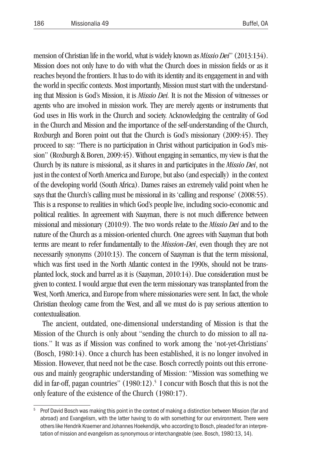mension of Christian life in the world, what is widely known as *Missio Dei*" (2013:134). Mission does not only have to do with what the Church does in mission fields or as it reaches beyond the frontiers. It has to do with its identity and its engagement in and with the world in specific contexts. Most importantly, Mission must start with the understanding that Mission is God's Mission, it is *Missio Dei.* It is not the Mission of witnesses or agents who are involved in mission work. They are merely agents or instruments that God uses in His work in the Church and society. Acknowledging the centrality of God in the Church and Mission and the importance of the self-understanding of the Church, Roxburgh and Boren point out that the Church is God's missionary (2009:45). They proceed to say: "There is no participation in Christ without participation in God's mission" (Roxburgh & Boren, 2009:45). Without engaging in semantics, my view is that the Church by its nature is missional, as it shares in and participates in the *Missio Dei*, not just in the context of North America and Europe, but also (and especially) in the context of the developing world (South Africa). Dames raises an extremely valid point when he says that the Church's calling must be missional in its 'calling and response' (2008:55). This is a response to realities in which God's people live, including socio-economic and political realities. In agreement with Saayman, there is not much difference between missional and missionary (2010:9). The two words relate to the *Missio Dei* and to the nature of the Church as a mission-oriented church. One agrees with Saayman that both terms are meant to refer fundamentally to the *Mission-Dei*, even though they are not necessarily synonyms (2010:13). The concern of Saayman is that the term missional, which was first used in the North Atlantic context in the 1990s, should not be transplanted lock, stock and barrel as it is (Saayman, 2010:14). Due consideration must be given to context. I would argue that even the term missionary was transplanted from the West, North America, and Europe from where missionaries were sent. In fact, the whole Christian theology came from the West, and all we must do is pay serious attention to contextualisation.

The ancient, outdated, one-dimensional understanding of Mission is that the Mission of the Church is only about "sending the church to do mission to all nations." It was as if Mission was confined to work among the 'not-yet-Christians' (Bosch, 1980:14). Once a church has been established, it is no longer involved in Mission. However, that need not be the case. Bosch correctly points out this erroneous and mainly geographic understanding of Mission: "Mission was something we did in far-off, pagan countries" (1980:12). 5 I concur with Bosch that this is not the only feature of the existence of the Church (1980:17).

<sup>5</sup> Prof David Bosch was making this point in the context of making a distinction between Mission (far and abroad) and Evangelism, with the latter having to do with something for our environment. There were others like Hendrik Kraemer and Johannes Hoekendijk, who according to Bosch, pleaded for an interpretation of mission and evangelism as synonymous or interchangeable (see. Bosch, 1980:13, 14).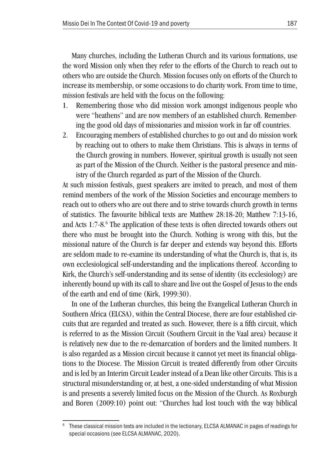Many churches, including the Lutheran Church and its various formations, use the word Mission only when they refer to the efforts of the Church to reach out to others who are outside the Church. Mission focuses only on efforts of the Church to increase its membership, or some occasions to do charity work. From time to time, mission festivals are held with the focus on the following:

- 1. Remembering those who did mission work amongst indigenous people who were "heathens" and are now members of an established church. Remembering the good old days of missionaries and mission work in far off countries.
- 2. Encouraging members of established churches to go out and do mission work by reaching out to others to make them Christians. This is always in terms of the Church growing in numbers. However, spiritual growth is usually not seen as part of the Mission of the Church. Neither is the pastoral presence and ministry of the Church regarded as part of the Mission of the Church.

At such mission festivals, guest speakers are invited to preach, and most of them remind members of the work of the Mission Societies and encourage members to reach out to others who are out there and to strive towards church growth in terms of statistics. The favourite biblical texts are Matthew 28:18-20; Matthew 7:13-16, and Acts 1:7-8. 6 The application of these texts is often directed towards others out there who must be brought into the Church. Nothing is wrong with this, but the missional nature of the Church is far deeper and extends way beyond this. Efforts are seldom made to re-examine its understanding of what the Church is, that is, its own ecclesiological self-understanding and the implications thereof. According to Kirk, the Church's self-understanding and its sense of identity (its ecclesiology) are inherently bound up with its call to share and live out the Gospel of Jesus to the ends of the earth and end of time (Kirk, 1999:30).

In one of the Lutheran churches, this being the Evangelical Lutheran Church in Southern Africa (ELCSA), within the Central Diocese, there are four established circuits that are regarded and treated as such. However, there is a fifth circuit, which is referred to as the Mission Circuit (Southern Circuit in the Vaal area) because it is relatively new due to the re-demarcation of borders and the limited numbers. It is also regarded as a Mission circuit because it cannot yet meet its financial obligations to the Diocese. The Mission Circuit is treated differently from other Circuits and is led by an Interim Circuit Leader instead of a Dean like other Circuits. This is a structural misunderstanding or, at best, a one-sided understanding of what Mission is and presents a severely limited focus on the Mission of the Church. As Roxburgh and Boren (2009:10) point out: "Churches had lost touch with the way biblical

These classical mission texts are included in the lectionary, ELCSA ALMANAC in pages of readings for special occasions (see ELCSA ALMANAC, 2020).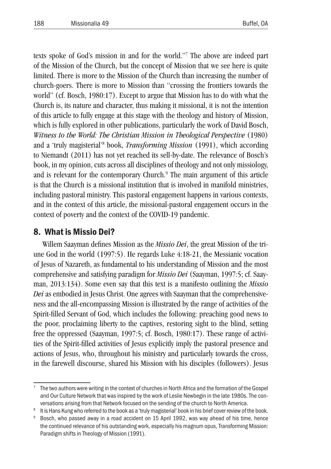texts spoke of God's mission in and for the world."7 The above are indeed part of the Mission of the Church, but the concept of Mission that we see here is quite limited. There is more to the Mission of the Church than increasing the number of church-goers. There is more to Mission than "crossing the frontiers towards the world" (cf. Bosch, 1980:17). Except to argue that Mission has to do with what the Church is, its nature and character, thus making it missional, it is not the intention of this article to fully engage at this stage with the theology and history of Mission, which is fully explored in other publications, particularly the work of David Bosch, *Witness to the World: The Christian Mission in Theological Perspective* (1980) and a 'truly magisterial'8 book, *Transforming Mission* (1991), which according to Niemandt (2011) has not yet reached its sell-by-date. The relevance of Bosch's book, in my opinion, cuts across all disciplines of theology and not only missiology, and is relevant for the contemporary Church. 9 The main argument of this article is that the Church is a missional institution that is involved in manifold ministries, including pastoral ministry. This pastoral engagement happens in various contexts, and in the context of this article, the missional-pastoral engagement occurs in the context of poverty and the context of the COVID-19 pandemic.

#### 8. What is Missio Dei?

Willem Saayman defines Mission as the *Missio Dei*, the great Mission of the triune God in the world (1997:5). He regards Luke 4:18-21, the Messianic vocation of Jesus of Nazareth, as fundamental to his understanding of Mission and the most comprehensive and satisfying paradigm for *Missio Dei* (Saayman, 1997:5; cf. Saayman, 2013:134). Some even say that this text is a manifesto outlining the *Missio Dei* as embodied in Jesus Christ. One agrees with Saayman that the comprehensiveness and the all-encompassing Mission is illustrated by the range of activities of the Spirit-filled Servant of God, which includes the following: preaching good news to the poor, proclaiming liberty to the captives, restoring sight to the blind, setting free the oppressed (Saayman, 1997:5; cf. Bosch, 1980:17). These range of activities of the Spirit-filled activities of Jesus explicitly imply the pastoral presence and actions of Jesus, who, throughout his ministry and particularly towards the cross, in the farewell discourse, shared his Mission with his disciples (followers). Jesus

The two authors were writing in the context of churches in North Africa and the formation of the Gospel and Our Culture Network that was inspired by the work of Leslie Newbegin in the late 1980s. The conversations arising from that Network focused on the sending of the church to North America.<br>8 It is Hans Kung who referred to the book as a 'truly magisterial' book in his brief cover review of the book.

<sup>&</sup>lt;sup>9</sup> Bosch, who passed away in a road accident on 15 April 1992, was way ahead of his time, hence the continued relevance of his outstanding work, especially his magnum opus, Transforming Mission: Paradigm shifts in Theology of Mission (1991).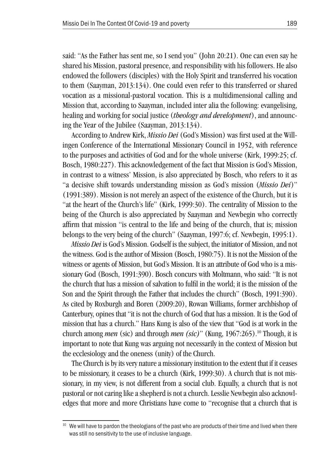said: "As the Father has sent me, so I send you" (John 20:21). One can even say he shared his Mission, pastoral presence, and responsibility with his followers. He also endowed the followers (disciples) with the Holy Spirit and transferred his vocation to them (Saayman, 2013:134). One could even refer to this transferred or shared vocation as a missional-pastoral vocation. This is a multidimensional calling and Mission that, according to Saayman, included inter alia the following: evangelising, healing and working for social justice (*theology and development*), and announcing the Year of the Jubilee (Saayman, 2013:134).

According to Andrew Kirk, *Missio Dei* (God's Mission) was first used at the Willingen Conference of the International Missionary Council in 1952, with reference to the purposes and activities of God and for the whole universe (Kirk, 1999:25; cf. Bosch, 1980:227). This acknowledgement of the fact that Mission is God's Mission, in contrast to a witness' Mission, is also appreciated by Bosch, who refers to it as "a decisive shift towards understanding mission as God's mission (*Missio Dei*)" (1991:389). Mission is not merely an aspect of the existence of the Church, but it is "at the heart of the Church's life" (Kirk, 1999:30). The centrality of Mission to the being of the Church is also appreciated by Saayman and Newbegin who correctly affirm that mission "is central to the life and being of the church, that is; mission belongs to the very being of the church" (Saayman, 1997:6; cf. Newbegin, 1995:1).

*Missio Dei* is God's Mission. Godself is the subject, the initiator of Mission, and not the witness. God is the author of Mission (Bosch, 1980:75). It is not the Mission of the witness or agents of Mission, but God's Mission. It is an attribute of God who is a missionary God (Bosch, 1991:390). Bosch concurs with Moltmann, who said: "It is not the church that has a mission of salvation to fulfil in the world; it is the mission of the Son and the Spirit through the Father that includes the church" (Bosch, 1991:390). As cited by Roxburgh and Boren (2009:20), Rowan Williams, former archbishop of Canterbury, opines that "it is not the church of God that has a mission. It is the God of mission that has a church." Hans Kung is also of the view that "God is at work in the church among *men* (sic) and through *men (sic)*" (Kung, 1967:265). 10 Though, it is important to note that Kung was arguing not necessarily in the context of Mission but the ecclesiology and the oneness (unity) of the Church.

The Church is by its very nature a missionary institution to the extent that if it ceases to be missionary, it ceases to be a church (Kirk, 1999:30). A church that is not missionary, in my view, is not different from a social club. Equally, a church that is not pastoral or not caring like a shepherd is not a church. Lesslie Newbegin also acknowledges that more and more Christians have come to "recognise that a church that is

<sup>&</sup>lt;sup>10</sup> We will have to pardon the theologians of the past who are products of their time and lived when there was still no sensitivity to the use of inclusive language.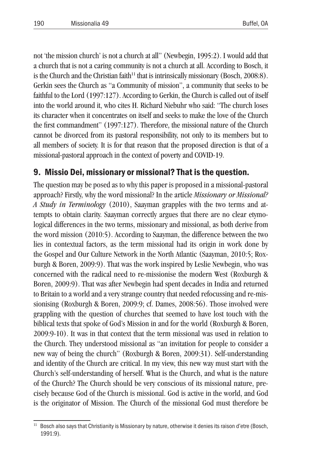not 'the mission church' is not a church at all" (Newbegin, 1995:2). I would add that a church that is not a caring community is not a church at all. According to Bosch, it is the Church and the Christian faith<sup>11</sup> that is intrinsically missionary (Bosch, 2008:8). Gerkin sees the Church as "a Community of mission", a community that seeks to be faithful to the Lord (1997:127). According to Gerkin, the Church is called out of itself into the world around it, who cites H. Richard Niebuhr who said: "The church loses its character when it concentrates on itself and seeks to make the love of the Church the first commandment" (1997:127). Therefore, the missional nature of the Church cannot be divorced from its pastoral responsibility, not only to its members but to all members of society. It is for that reason that the proposed direction is that of a missional-pastoral approach in the context of poverty and COVID-19.

### 9. Missio Dei, missionary or missional? That is the question.

The question may be posed as to why this paper is proposed in a missional-pastoral approach? Firstly, why the word missional? In the article *Missionary or Missional? A Study in Terminology* (2010), Saayman grapples with the two terms and attempts to obtain clarity. Saayman correctly argues that there are no clear etymological differences in the two terms, missionary and missional, as both derive from the word mission (2010:5). According to Saayman, the difference between the two lies in contextual factors, as the term missional had its origin in work done by the Gospel and Our Culture Network in the North Atlantic (Saayman, 2010:5; Roxburgh & Boren, 2009:9). That was the work inspired by Leslie Newbegin, who was concerned with the radical need to re-missionise the modern West (Roxburgh & Boren, 2009:9). That was after Newbegin had spent decades in India and returned to Britain to a world and a very strange country that needed refocussing and re-missionising (Roxburgh & Boren, 2009:9; cf. Dames, 2008:56). Those involved were grappling with the question of churches that seemed to have lost touch with the biblical texts that spoke of God's Mission in and for the world (Roxburgh & Boren, 2009:9-10). It was in that context that the term missional was used in relation to the Church. They understood missional as "an invitation for people to consider a new way of being the church" (Roxburgh & Boren, 2009:31). Self-understanding and identity of the Church are critical. In my view, this new way must start with the Church's self-understanding of herself. What is the Church, and what is the nature of the Church? The Church should be very conscious of its missional nature, precisely because God of the Church is missional. God is active in the world, and God is the originator of Mission. The Church of the missional God must therefore be

<sup>11</sup> Bosch also says that Christianity is Missionary by nature, otherwise it denies its raison d'etre (Bosch, 1991:9).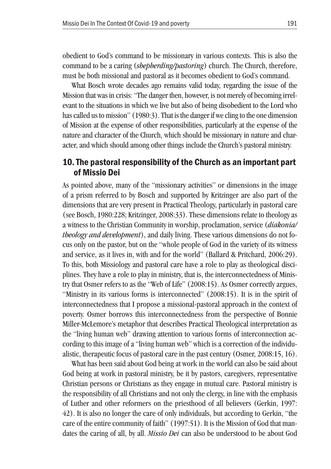obedient to God's command to be missionary in various contexts. This is also the command to be a caring (*shepherding/pastoring*) church. The Church, therefore, must be both missional and pastoral as it becomes obedient to God's command.

What Bosch wrote decades ago remains valid today, regarding the issue of the Mission that was in crisis: "The danger then, however, is not merely of becoming irrelevant to the situations in which we live but also of being disobedient to the Lord who has called us to mission" (1980:3). That is the danger if we cling to the one dimension of Mission at the expense of other responsibilities, particularly at the expense of the nature and character of the Church, which should be missionary in nature and character, and which should among other things include the Church's pastoral ministry.

#### 10.The pastoral responsibility of the Church as an important part of Missio Dei

As pointed above, many of the "missionary activities" or dimensions in the image of a prism referred to by Bosch and supported by Kritzinger are also part of the dimensions that are very present in Practical Theology, particularly in pastoral care (see Bosch, 1980:228; Kritzinger, 2008:33). These dimensions relate to theology as a witness to the Christian Community in worship, proclamation, service (*diakonia/ theology and development*), and daily living. These various dimensions do not focus only on the pastor, but on the "whole people of God in the variety of its witness and service, as it lives in, with and for the world" (Ballard & Pritchard, 2006:29). To this, both Missiology and pastoral care have a role to play as theological disciplines. They have a role to play in ministry, that is, the interconnectedness of Ministry that Osmer refers to as the "Web of Life" (2008:15). As Osmer correctly argues, "Ministry in its various forms is interconnected" (2008:15). It is in the spirit of interconnectedness that I propose a missional-pastoral approach in the context of poverty. Osmer borrows this interconnectedness from the perspective of Bonnie Miller-McLemore's metaphor that describes Practical Theological interpretation as the "living human web" drawing attention to various forms of interconnection according to this image of a "living human web" which is a correction of the individualistic, therapeutic focus of pastoral care in the past century (Osmer, 2008:15, 16).

What has been said about God being at work in the world can also be said about God being at work in pastoral ministry, be it by pastors, caregivers, representative Christian persons or Christians as they engage in mutual care. Pastoral ministry is the responsibility of all Christians and not only the clergy, in line with the emphasis of Luther and other reformers on the priesthood of all believers (Gerkin, 1997: 42). It is also no longer the care of only individuals, but according to Gerkin, "the care of the entire community of faith" (1997:51). It is the Mission of God that mandates the caring of all, by all. *Missio Dei* can also be understood to be about God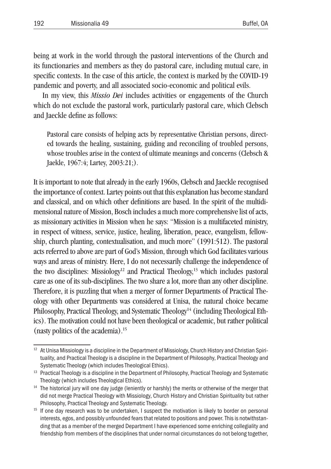being at work in the world through the pastoral interventions of the Church and its functionaries and members as they do pastoral care, including mutual care, in specific contexts. In the case of this article, the context is marked by the COVID-19 pandemic and poverty, and all associated socio-economic and political evils.

In my view, this *Missio Dei* includes activities or engagements of the Church which do not exclude the pastoral work, particularly pastoral care, which Clebsch and Jaeckle define as follows:

Pastoral care consists of helping acts by representative Christian persons, directed towards the healing, sustaining, guiding and reconciling of troubled persons, whose troubles arise in the context of ultimate meanings and concerns (Clebsch & Jaekle, 1967:4; Lartey, 2003:21;).

It is important to note that already in the early 1960s, Clebsch and Jaeckle recognised the importance of context. Lartey points out that this explanation has become standard and classical, and on which other definitions are based. In the spirit of the multidimensional nature of Mission, Bosch includes a much more comprehensive list of acts, as missionary activities in Mission when he says: "Mission is a multifaceted ministry, in respect of witness, service, justice, healing, liberation, peace, evangelism, fellowship, church planting, contextualisation, and much more" (1991:512). The pastoral acts referred to above are part of God's Mission, through which God facilitates various ways and areas of ministry. Here, I do not necessarily challenge the independence of the two disciplines: Missiology<sup>12</sup> and Practical Theology,<sup>13</sup> which includes pastoral care as one of its sub-disciplines. The two share a lot, more than any other discipline. Therefore, it is puzzling that when a merger of former Departments of Practical Theology with other Departments was considered at Unisa, the natural choice became Philosophy, Practical Theology, and Systematic Theology<sup>14</sup> (including Theological Ethics). The motivation could not have been theological or academic, but rather political (nasty politics of the academia). 15

At Unisa Missiology is a discipline in the Department of Missiology, Church History and Christian Spirituality, and Practical Theology is a discipline in the Department of Philosophy, Practical Theology and Systematic Theology (which includes Theological Ethics).

<sup>&</sup>lt;sup>13</sup> Practical Theology is a discipline in the Department of Philosophy, Practical Theology and Systematic Theology (which includes Theological Ethics).

<sup>&</sup>lt;sup>14</sup> The historical jury will one day judge (leniently or harshly) the merits or otherwise of the merger that did not merge Practical Theology with Missiology, Church History and Christian Spirituality but rather Philosophy, Practical Theology and Systematic Theology.<br><sup>15</sup> If one day research was to be undertaken, I suspect the motivation is likely to border on personal

interests, egos, and possibly unfounded fears that related to positions and power. This is notwithstanding that as a member of the merged Department I have experienced some enriching collegiality and friendship from members of the disciplines that under normal circumstances do not belong together,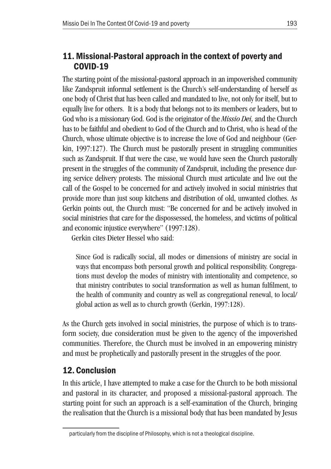### 11. Missional-Pastoral approach in the context of poverty and COVID-19

The starting point of the missional-pastoral approach in an impoverished community like Zandspruit informal settlement is the Church's self-understanding of herself as one body of Christ that has been called and mandated to live, not only for itself, but to equally live for others. It is a body that belongs not to its members or leaders, but to God who is a missionary God. God is the originator of the *Missio Dei,* and the Church has to be faithful and obedient to God of the Church and to Christ, who is head of the Church, whose ultimate objective is to increase the love of God and neighbour (Gerkin, 1997:127). The Church must be pastorally present in struggling communities such as Zandspruit. If that were the case, we would have seen the Church pastorally present in the struggles of the community of Zandspruit, including the presence during service delivery protests. The missional Church must articulate and live out the call of the Gospel to be concerned for and actively involved in social ministries that provide more than just soup kitchens and distribution of old, unwanted clothes. As Gerkin points out, the Church must: "Be concerned for and be actively involved in social ministries that care for the dispossessed, the homeless, and victims of political and economic injustice everywhere" (1997:128).

Gerkin cites Dieter Hessel who said:

Since God is radically social, all modes or dimensions of ministry are social in ways that encompass both personal growth and political responsibility. Congregations must develop the modes of ministry with intentionality and competence, so that ministry contributes to social transformation as well as human fulfilment, to the health of community and country as well as congregational renewal, to local/ global action as well as to church growth (Gerkin, 1997:128).

As the Church gets involved in social ministries, the purpose of which is to transform society, due consideration must be given to the agency of the impoverished communities. Therefore, the Church must be involved in an empowering ministry and must be prophetically and pastorally present in the struggles of the poor.

## 12.Conclusion

In this article, I have attempted to make a case for the Church to be both missional and pastoral in its character, and proposed a missional-pastoral approach. The starting point for such an approach is a self-examination of the Church, bringing the realisation that the Church is a missional body that has been mandated by Jesus

particularly from the discipline of Philosophy, which is not a theological discipline.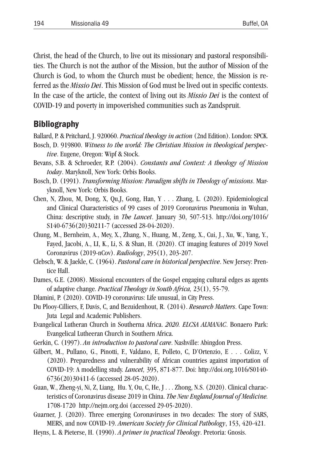Christ, the head of the Church, to live out its missionary and pastoral responsibilities. The Church is not the author of the Mission, but the author of Mission of the Church is God, to whom the Church must be obedient; hence, the Mission is referred as the *Missio Dei*. This Mission of God must be lived out in specific contexts. In the case of the article, the context of living out its *Missio Dei* is the context of COVID-19 and poverty in impoverished communities such as Zandspruit.

#### Bibliography

- Ballard, P. & Pritchard, J. 920060. *Practical theology in action* (2nd Edition). London: SPCK. Bosch, D. 919800. *Witness to the world: The Christian Mission in theological perspec-*
- *tive*. Eugene, Oregon: Wipf & Stock.
- Bevans, S.B. & Schroeder, R.P. (2004). *Constants and Context: A theology of Mission today*. Maryknoll, New York: Orbis Books.
- Bosch, D. (1991). *Transforming Mission: Paradigm shifts in Theology of missions*. Maryknoll, New York: Orbis Books.
- Chen, N, Zhou, M, Dong, X, Qu,J, Gong, Han, Y . . . Zhang, L. (2020). Epidemiological and Clinical Characteristics of 99 cases of 2019 Coronavirus Pneumonia in Wuhan, China: descriptive study, in *The Lancet*. January 30, 507-513. http://doi.org/1016/ S140-6736(20)30211-7 (accessed 28-04-2020).
- Chung, M., Bernheim, A., Mey, X., Zhang, N., Huang, M., Zeng, X., Cui, J., Xu, W., Yang, Y., Fayed, Jacobi, A., LI, K., Li, S. & Shan, H. (2020). CT imaging features of 2019 Novel Coronavirus (2019-nCov). *Radiology*, 295(1), 203-207.
- Clebsch, W. & Jaekle, C. (1964). *Pastoral care in historical perspective*. New Jersey: Prentice Hall.
- Dames, G.E. (2008). Missional encounters of the Gospel engaging cultural edges as agents of adaptive change. *Practical Theology in South Africa,* 23(1), 55-79.
- Dlamini, P. (2020). COVID-19 coronavirus: Life unusual, in City Press.
- Du Plooy-Cilliers, F, Davis, C, and Bezuidenhout, R. (2014). *Research Matters*. Cape Town: Juta Legal and Academic Publishers.
- Evangelical Lutheran Church in Southerna Africa. *2020. ELCSA ALMANAC*. Bonaero Park: Evangelical Lutheeran Church in Southern Africa.
- Gerkin, C. (1997). *An introduction to pastoral care*. Nashville: Abingdon Press.
- Gilbert, M., Pullano, G., Pinotti, F., Valdano, E, Polleto, C, D'Ortenzio, E . . . Colizz, V. (2020). Preparedness and vulnerability of African countries against importation of COVID-19: A modelling study. *Lancet,* 395, 871-877. Doi: http://doi.org.1016/S0140- 6736(20)30411-6 (accessed 28-05-2020).
- Guan, W., Zheng-yi, Ni, Z, Liang, Hu. Y, Ou, C, He, J . . . Zhong, N.S. (2020). Clinical characteristics of Coronavirus disease 2019 in China. *The New England Journal of Medicine.* 1708-1720 http://nejm.org.doi (accessed 29-05-2020).
- Guarner, J. (2020). Three emerging Coronaviruses in two decades: The story of SARS, MERS, and now COVID-19. *American Society for Clinical Pathology*, 153, 420-421.
- Heyns, L. & Pieterse, H. (1990). *A primer in practical Theology*. Pretoria: Gnosis.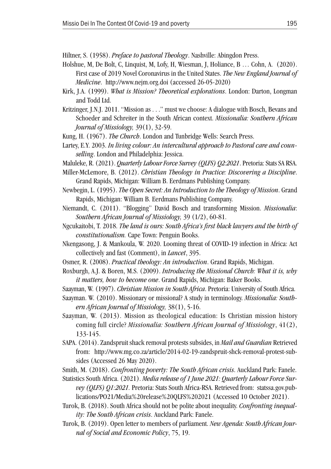Hiltner, S. (1958). *Preface to pastoral Theology*. Nashville: Abingdon Press.

- Holshue, M, De Bolt, C, Linquist, M, Lofy, H, Wiesman, J, Holiance, B … Cohn, A. (2020). First case of 2019 Novel Coronavirus in the United States. *The New England Journal of Medicine*. http://www.nejm.org.doi (accessed 26-05-2020)
- Kirk, J.A. (1999). *What is Mission? Theoretical explorations*. London: Darton, Longman and Todd Ltd.
- Kritzinger, J.N.J. 2011. "Mission as . . ." must we choose: A dialogue with Bosch, Bevans and Schoeder and Schreiter in the South African context. *Missionalia: Southern African Journal of Missiology,* 39(1), 32-59.
- Kung, H. (1967). *The Church*. London and Tunbridge Wells: Search Press.
- Lartey, E.Y. 2003. *In living colour: An intercultural approach to Pastoral care and counselling*. London and Philadelphia: Jessica.
- Maluleke, R. (2021). *Quarterly Labour Force Survey (QLFS) Q2:2021*. Pretoria: Stats SA RSA.
- Miller-McLemore, B. (2012). *Christian Theology in Practice: Discovering a Discipline*. Grand Rapids, Michigan: William B. Eerdmans Publishing Company.
- Newbegin, L. (1995). *The Open Secret: An Introduction to the Theology of Mission*. Grand Rapids, Michigan: William B. Eerdmans Publishing Company.
- Niemandt, C. (2011). "Blogging" David Bosch and transforming Mission. *Missionalia*: *Southern African Journal of Missiology,* 39 (1/2), 60-81.
- Ngcukaitobi, T. 2018. *The land is ours: South Africa's first black lawyers and the birth of constitutionalism.* Cape Town: Penguin Books.
- Nkengasong, J. & Mankoula, W. 2020. Looming threat of COVID-19 infection in Africa: Act collectively and fast (Comment), in *Lancet*, 395.
- Osmer, R. (2008). *Practical theology: An introduction*. Grand Rapids, Michigan.
- Roxburgh, A.J. & Boren, M.S. (2009). *Introducing the Missional Church: What it is, why it matters, how to become one*. Grand Rapids, Michigan: Baker Books.
- Saayman, W. (1997). *Christian Mission in South Africa*. Pretoria: University of South Africa.
- Saayman. W. (2010). Missionary or missional? A study in terminology. *Missionalia: Southern African Journal of Missiology,* 38(1), 5-16.
- Saayman, W. (2013). Mission as theological education: Is Christian mission history coming full circle? *Missionalia: Southern African Journal of Missiology*, 41(2), 133-145.
- SAPA. (2014). Zandspruit shack removal protests subsides, in *Mail and Guardian* Retrieved from: http://www.mg.co.za/article/2014-02-19-zandspruit-shck-removal-protest-subsides (Accessed 26 May 2020).
- Smith, M. (2018). *Confronting poverty: The South African crisis*. Auckland Park: Fanele.
- Statistics South Africa. (2021). *Media release of 1 June 2021: Quarterly Labour Force Survey (QLFS) Q1:2021.* Pretoria: Stats South Africa-RSA. Retrieved from: statssa.gov.publications/PO21/Media%20release%20QLFS%202021 (Accessed 10 October 2021).
- Turok, B. (2018). South Africa should not be polite about inequality. *Confronting inequality: The South African crisis*. Auckland Park: Fanele.
- Turok, B. (2019). Open letter to members of parliament. *New Agenda: South African Journal of Social and Economic Policy*, 75, 19.